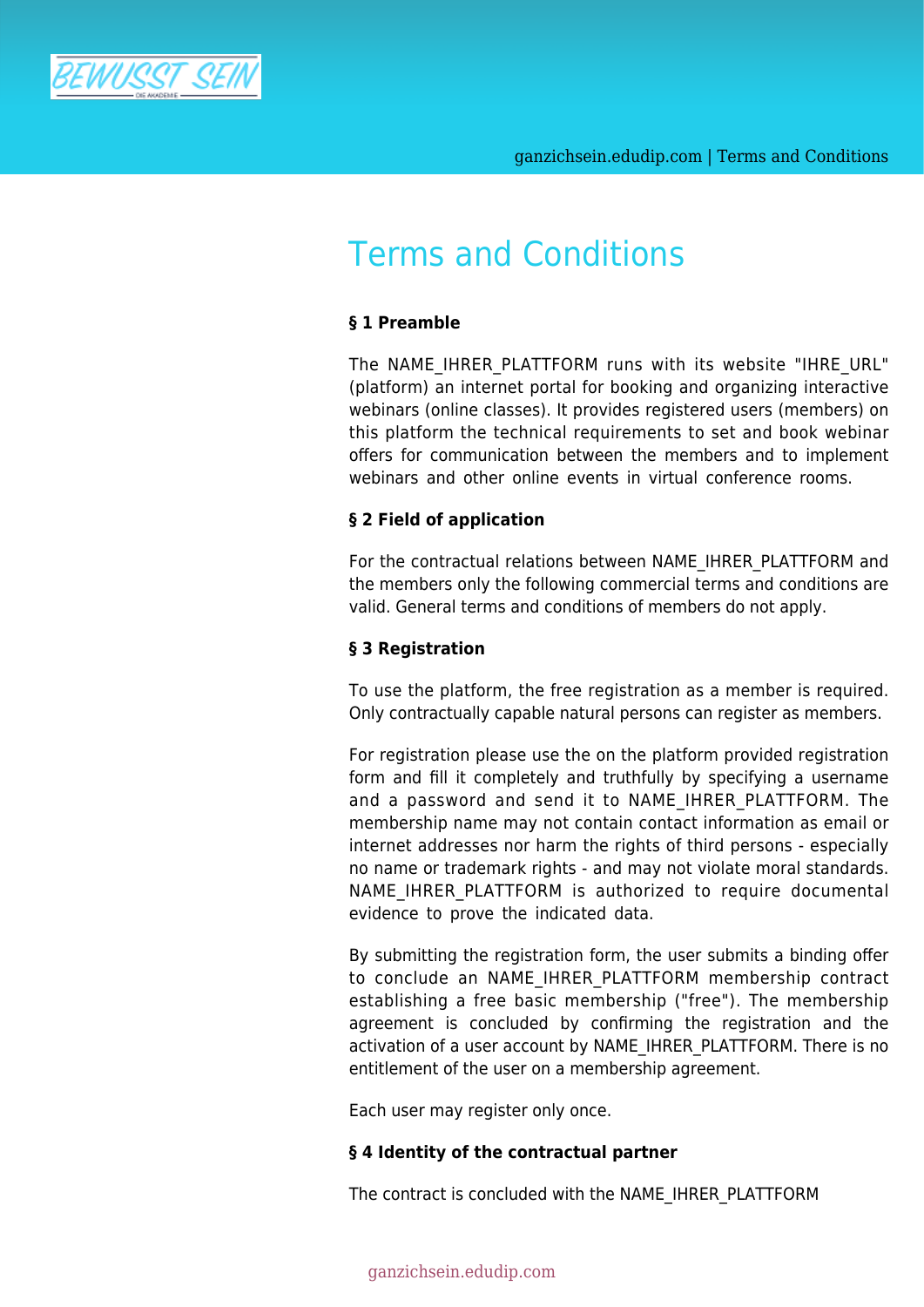

# Terms and Conditions

# **§ 1 Preamble**

The NAME IHRER PLATTFORM runs with its website "IHRE URL" (platform) an internet portal for booking and organizing interactive webinars (online classes). It provides registered users (members) on this platform the technical requirements to set and book webinar offers for communication between the members and to implement webinars and other online events in virtual conference rooms.

#### **§ 2 Field of application**

For the contractual relations between NAME\_IHRER\_PLATTFORM and the members only the following commercial terms and conditions are valid. General terms and conditions of members do not apply.

# **§ 3 Registration**

To use the platform, the free registration as a member is required. Only contractually capable natural persons can register as members.

For registration please use the on the platform provided registration form and fill it completely and truthfully by specifying a username and a password and send it to NAME IHRER PLATTFORM. The membership name may not contain contact information as email or internet addresses nor harm the rights of third persons - especially no name or trademark rights - and may not violate moral standards. NAME IHRER PLATTFORM is authorized to require documental evidence to prove the indicated data.

By submitting the registration form, the user submits a binding offer to conclude an NAME\_IHRER\_PLATTFORM membership contract establishing a free basic membership ("free"). The membership agreement is concluded by confirming the registration and the activation of a user account by NAME\_IHRER\_PLATTFORM. There is no entitlement of the user on a membership agreement.

Each user may register only once.

# **§ 4 Identity of the contractual partner**

The contract is concluded with the NAME\_IHRER\_PLATTFORM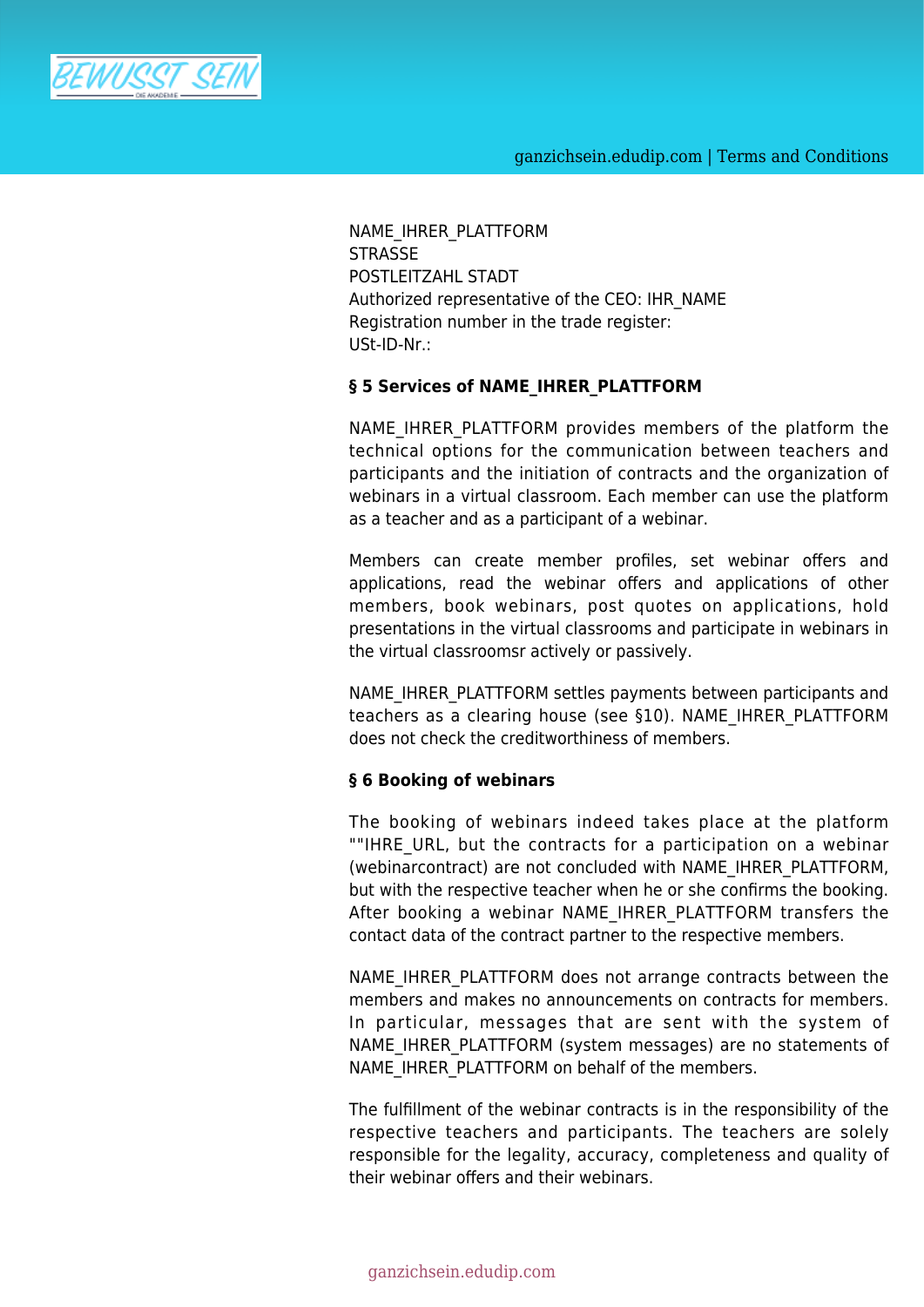

NAME\_IHRER\_PLATTFORM **STRASSE** POSTLEITZAHL STADT Authorized representative of the CEO: IHR\_NAME Registration number in the trade register: USt-ID-Nr.:

#### **§ 5 Services of NAME\_IHRER\_PLATTFORM**

NAME\_IHRER\_PLATTFORM\_provides\_members of the platform the technical options for the communication between teachers and participants and the initiation of contracts and the organization of webinars in a virtual classroom. Each member can use the platform as a teacher and as a participant of a webinar.

Members can create member profiles, set webinar offers and applications, read the webinar offers and applications of other members, book webinars, post quotes on applications, hold presentations in the virtual classrooms and participate in webinars in the virtual classroomsr actively or passively.

NAME\_IHRER\_PLATTFORM settles payments between participants and teachers as a clearing house (see §10). NAME IHRER PLATTFORM does not check the creditworthiness of members.

#### **§ 6 Booking of webinars**

The booking of webinars indeed takes place at the platform ""IHRE\_URL, but the contracts for a participation on a webinar (webinarcontract) are not concluded with NAME\_IHRER\_PLATTFORM, but with the respective teacher when he or she confirms the booking. After booking a webinar NAME IHRER PLATTFORM transfers the contact data of the contract partner to the respective members.

NAME\_IHRER\_PLATTFORM does not arrange contracts between the members and makes no announcements on contracts for members. In particular, messages that are sent with the system of NAME\_IHRER\_PLATTFORM (system messages) are no statements of NAME\_IHRER\_PLATTFORM on behalf of the members.

The fulfillment of the webinar contracts is in the responsibility of the respective teachers and participants. The teachers are solely responsible for the legality, accuracy, completeness and quality of their webinar offers and their webinars.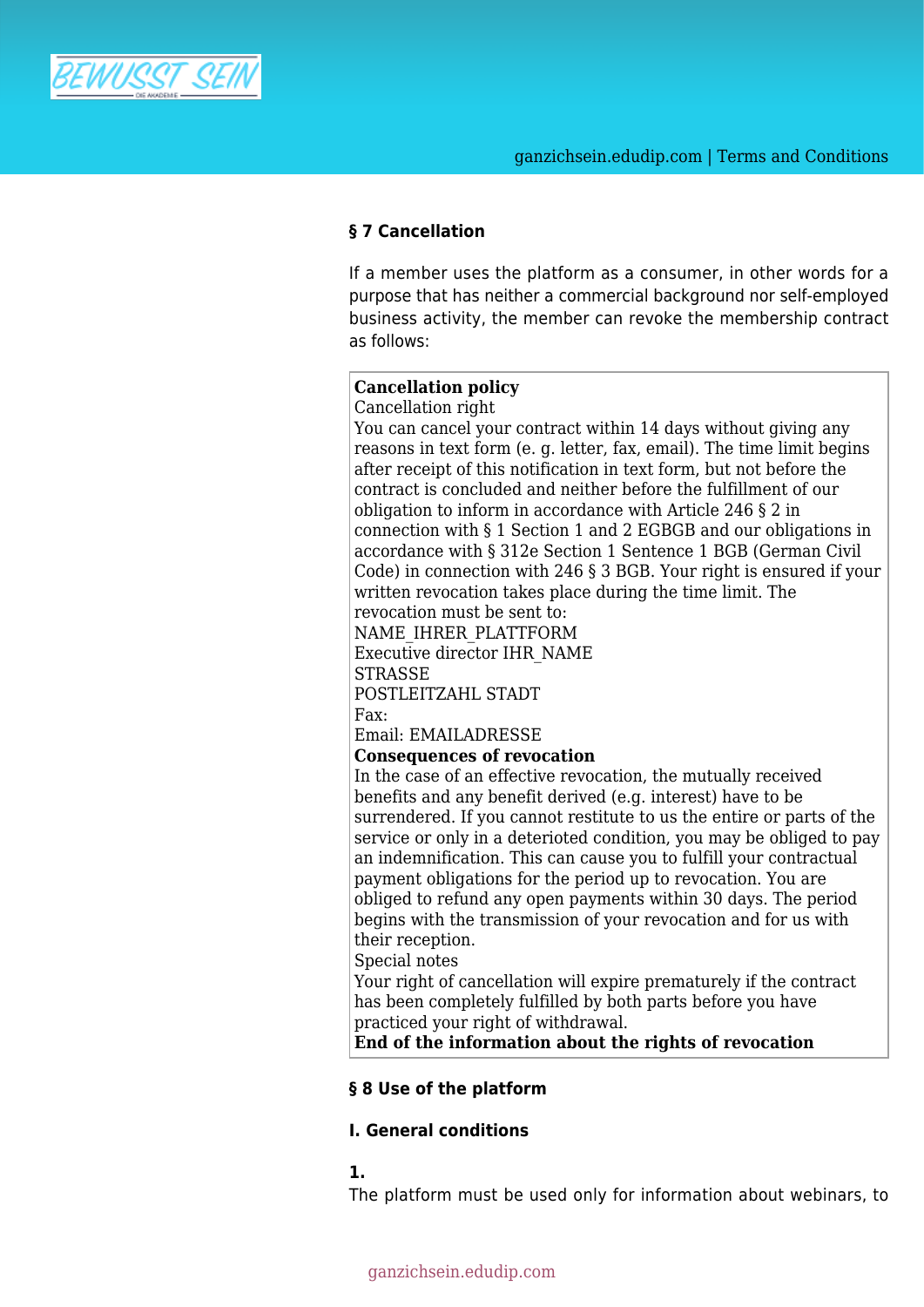

# **§ 7 Cancellation**

If a member uses the platform as a consumer, in other words for a purpose that has neither a commercial background nor self-employed business activity, the member can revoke the membership contract as follows:

# **Cancellation policy**

Cancellation right

You can cancel your contract within 14 days without giving any reasons in text form (e. g. letter, fax, email). The time limit begins after receipt of this notification in text form, but not before the contract is concluded and neither before the fulfillment of our obligation to inform in accordance with Article 246 § 2 in connection with § 1 Section 1 and 2 EGBGB and our obligations in accordance with § 312e Section 1 Sentence 1 BGB (German Civil Code) in connection with 246 § 3 BGB. Your right is ensured if your written revocation takes place during the time limit. The revocation must be sent to: NAME\_IHRER\_PLATTFORM Executive director IHR\_NAME **STRASSE** 

POSTLEITZAHL STADT Fax:

Email: EMAILADRESSE

**Consequences of revocation**

In the case of an effective revocation, the mutually received benefits and any benefit derived (e.g. interest) have to be surrendered. If you cannot restitute to us the entire or parts of the service or only in a deterioted condition, you may be obliged to pay an indemnification. This can cause you to fulfill your contractual payment obligations for the period up to revocation. You are obliged to refund any open payments within 30 days. The period begins with the transmission of your revocation and for us with their reception.

Special notes

Your right of cancellation will expire prematurely if the contract has been completely fulfilled by both parts before you have practiced your right of withdrawal.

**End of the information about the rights of revocation**

#### **§ 8 Use of the platform**

# **I. General conditions**

**1.**

The platform must be used only for information about webinars, to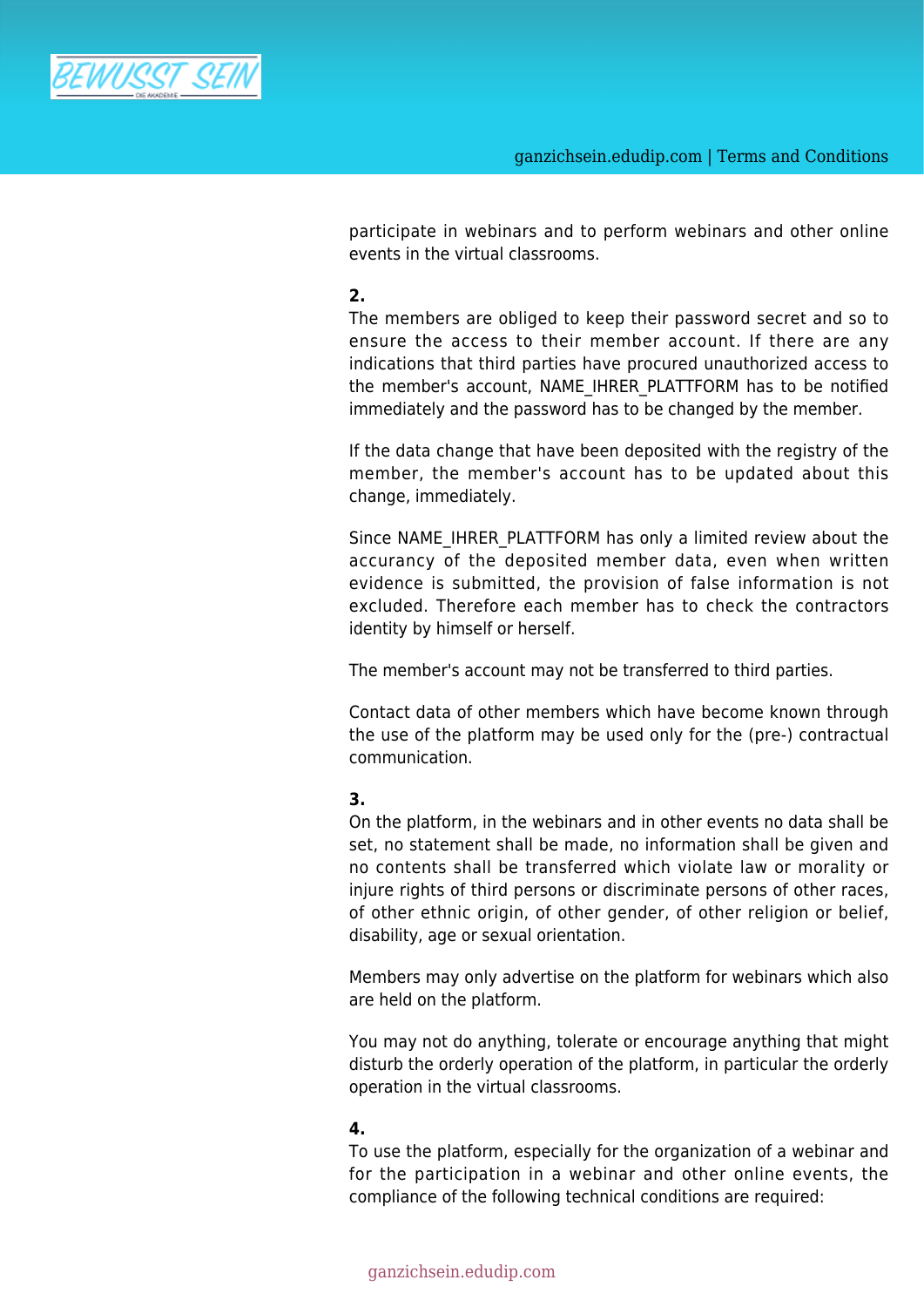

participate in webinars and to perform webinars and other online events in the virtual classrooms.

#### **2.**

The members are obliged to keep their password secret and so to ensure the access to their member account. If there are any indications that third parties have procured unauthorized access to the member's account, NAME\_IHRER\_PLATTFORM has to be notified immediately and the password has to be changed by the member.

If the data change that have been deposited with the registry of the member, the member's account has to be updated about this change, immediately.

Since NAME\_IHRER\_PLATTFORM has only a limited review about the accurancy of the deposited member data, even when written evidence is submitted, the provision of false information is not excluded. Therefore each member has to check the contractors identity by himself or herself.

The member's account may not be transferred to third parties.

Contact data of other members which have become known through the use of the platform may be used only for the (pre-) contractual communication.

# **3.**

On the platform, in the webinars and in other events no data shall be set, no statement shall be made, no information shall be given and no contents shall be transferred which violate law or morality or injure rights of third persons or discriminate persons of other races, of other ethnic origin, of other gender, of other religion or belief, disability, age or sexual orientation.

Members may only advertise on the platform for webinars which also are held on the platform.

You may not do anything, tolerate or encourage anything that might disturb the orderly operation of the platform, in particular the orderly operation in the virtual classrooms.

# **4.**

To use the platform, especially for the organization of a webinar and for the participation in a webinar and other online events, the compliance of the following technical conditions are required: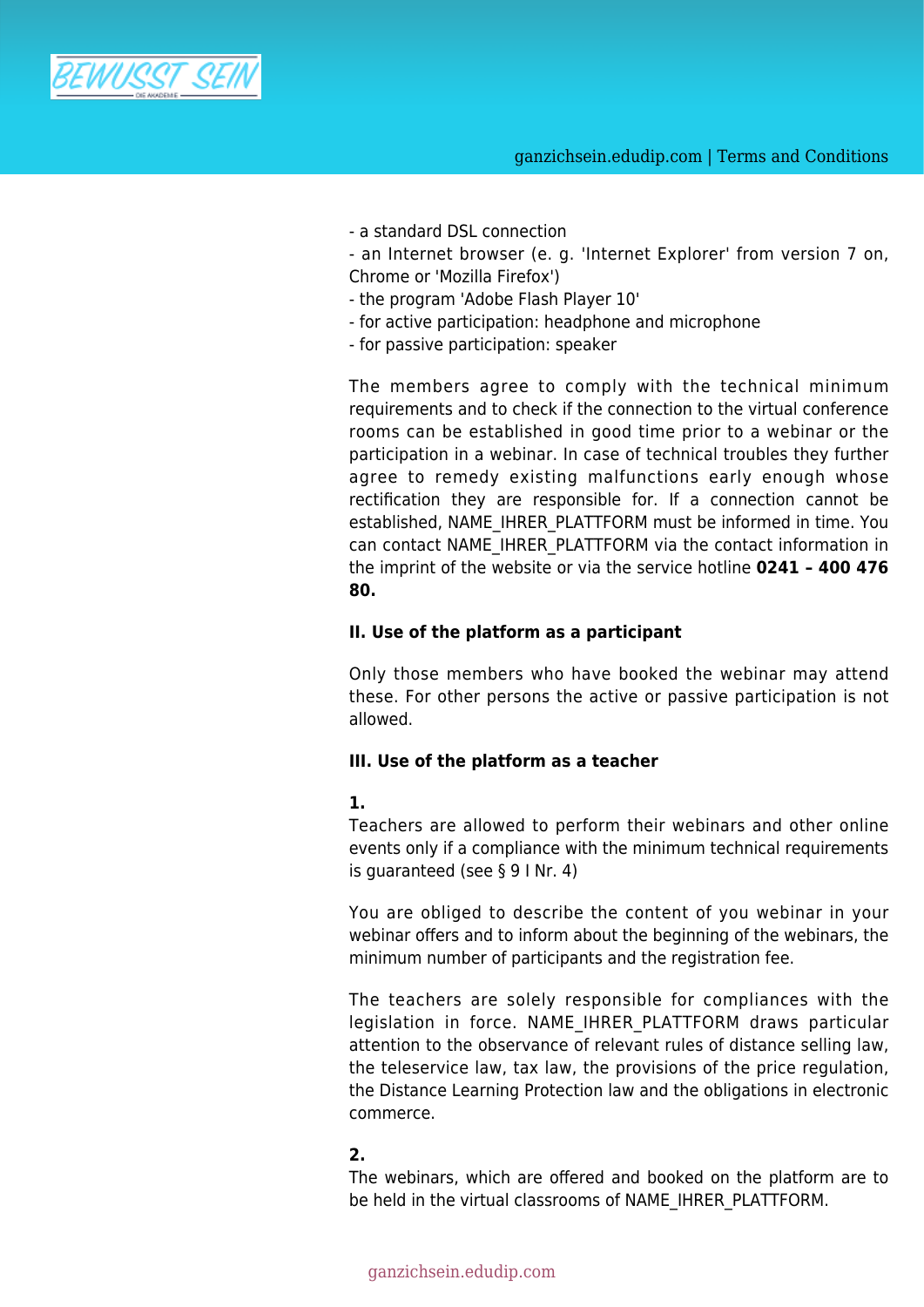

- a standard DSL connection

- an Internet browser (e. g. 'Internet Explorer' from version 7 on, Chrome or 'Mozilla Firefox')

- the program 'Adobe Flash Player 10'
- for active participation: headphone and microphone
- for passive participation: speaker

The members agree to comply with the technical minimum requirements and to check if the connection to the virtual conference rooms can be established in good time prior to a webinar or the participation in a webinar. In case of technical troubles they further agree to remedy existing malfunctions early enough whose rectification they are responsible for. If a connection cannot be established, NAME\_IHRER\_PLATTFORM must be informed in time. You can contact NAME\_IHRER\_PLATTFORM via the contact information in the imprint of the website or via the service hotline **0241 – 400 476 80.**

#### **II. Use of the platform as a participant**

Only those members who have booked the webinar may attend these. For other persons the active or passive participation is not allowed.

#### **III. Use of the platform as a teacher**

#### **1.**

Teachers are allowed to perform their webinars and other online events only if a compliance with the minimum technical requirements is guaranteed (see § 9 I Nr. 4)

You are obliged to describe the content of you webinar in your webinar offers and to inform about the beginning of the webinars, the minimum number of participants and the registration fee.

The teachers are solely responsible for compliances with the legislation in force. NAME IHRER PLATTFORM draws particular attention to the observance of relevant rules of distance selling law, the teleservice law, tax law, the provisions of the price regulation, the Distance Learning Protection law and the obligations in electronic commerce.

# **2.**

The webinars, which are offered and booked on the platform are to be held in the virtual classrooms of NAME\_IHRER\_PLATTFORM.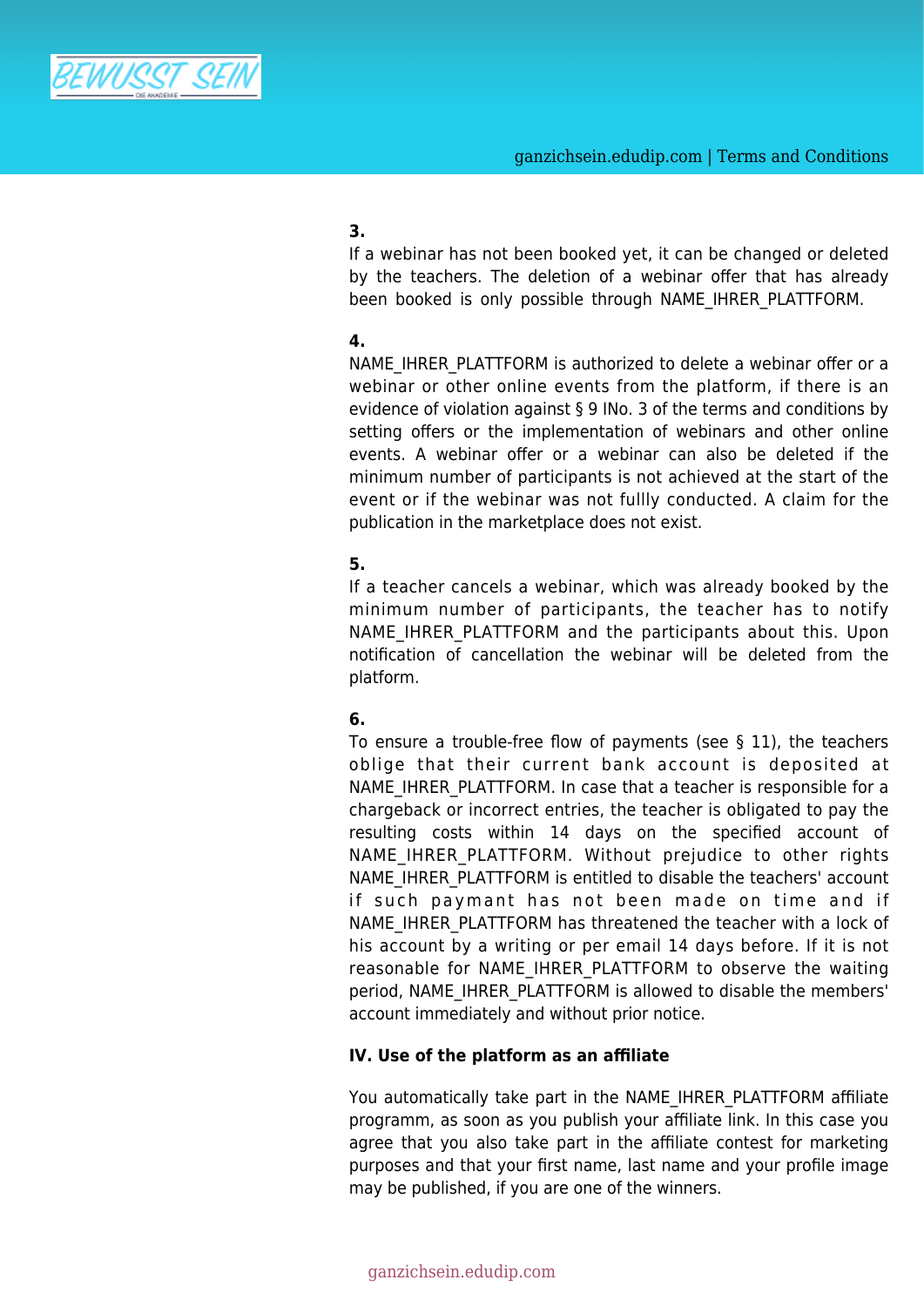

# **3.**

If a webinar has not been booked yet, it can be changed or deleted by the teachers. The deletion of a webinar offer that has already been booked is only possible through NAME IHRER PLATTFORM.

# **4.**

NAME\_IHRER\_PLATTFORM is authorized to delete a webinar offer or a webinar or other online events from the platform, if there is an evidence of violation against § 9 INo. 3 of the terms and conditions by setting offers or the implementation of webinars and other online events. A webinar offer or a webinar can also be deleted if the minimum number of participants is not achieved at the start of the event or if the webinar was not fullly conducted. A claim for the publication in the marketplace does not exist.

# **5.**

If a teacher cancels a webinar, which was already booked by the minimum number of participants, the teacher has to notify NAME IHRER PLATTFORM and the participants about this. Upon notification of cancellation the webinar will be deleted from the platform.

# **6.**

To ensure a trouble-free flow of payments (see § 11), the teachers oblige that their current bank account is deposited at NAME\_IHRER\_PLATTFORM. In case that a teacher is responsible for a chargeback or incorrect entries, the teacher is obligated to pay the resulting costs within 14 days on the specified account of NAME IHRER PLATTFORM. Without prejudice to other rights NAME\_IHRER\_PLATTFORM is entitled to disable the teachers' account if such paymant has not been made on time and if NAME\_IHRER\_PLATTFORM\_has\_threatened the teacher with a lock of his account by a writing or per email 14 days before. If it is not reasonable for NAME\_IHRER\_PLATTFORM to observe the waiting period, NAME\_IHRER\_PLATTFORM is allowed to disable the members' account immediately and without prior notice.

# **IV. Use of the platform as an affiliate**

You automatically take part in the NAME\_IHRER\_PLATTFORM affiliate programm, as soon as you publish your affiliate link. In this case you agree that you also take part in the affiliate contest for marketing purposes and that your first name, last name and your profile image may be published, if you are one of the winners.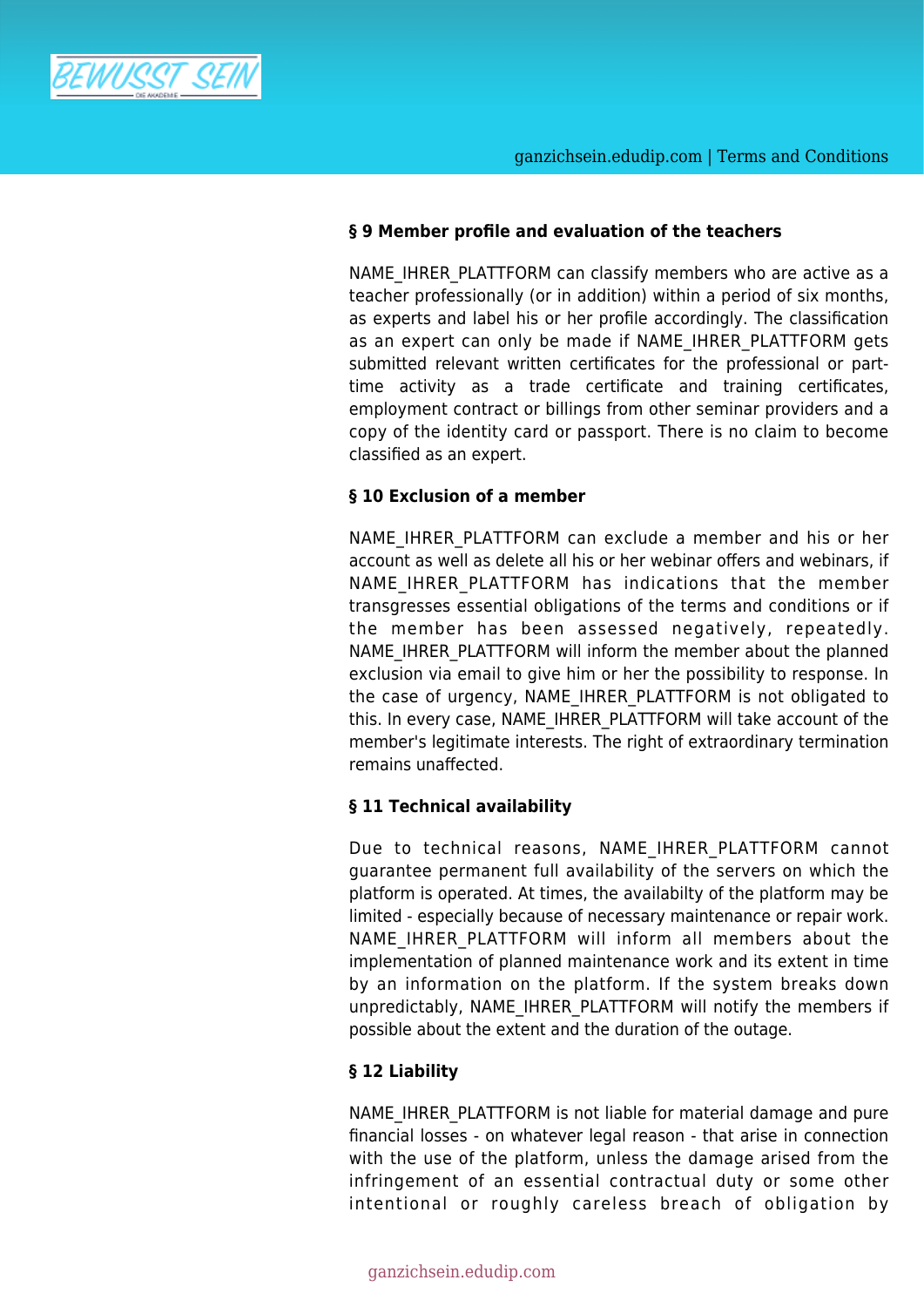

# **§ 9 Member profile and evaluation of the teachers**

NAME\_IHRER\_PLATTFORM can classify members who are active as a teacher professionally (or in addition) within a period of six months, as experts and label his or her profile accordingly. The classification as an expert can only be made if NAME\_IHRER\_PLATTFORM gets submitted relevant written certificates for the professional or parttime activity as a trade certificate and training certificates, employment contract or billings from other seminar providers and a copy of the identity card or passport. There is no claim to become classified as an expert.

# **§ 10 Exclusion of a member**

NAME\_IHRER\_PLATTFORM can exclude a member and his or her account as well as delete all his or her webinar offers and webinars, if NAME IHRER PLATTFORM has indications that the member transgresses essential obligations of the terms and conditions or if the member has been assessed negatively, repeatedly. NAME\_IHRER\_PLATTFORM will inform the member about the planned exclusion via email to give him or her the possibility to response. In the case of urgency, NAME IHRER PLATTFORM is not obligated to this. In every case, NAME\_IHRER\_PLATTFORM will take account of the member's legitimate interests. The right of extraordinary termination remains unaffected.

# **§ 11 Technical availability**

Due to technical reasons, NAME IHRER PLATTFORM cannot guarantee permanent full availability of the servers on which the platform is operated. At times, the availabilty of the platform may be limited - especially because of necessary maintenance or repair work. NAME IHRER PLATTFORM will inform all members about the implementation of planned maintenance work and its extent in time by an information on the platform. If the system breaks down unpredictably, NAME\_IHRER\_PLATTFORM will notify the members if possible about the extent and the duration of the outage.

# **§ 12 Liability**

NAME\_IHRER\_PLATTFORM is not liable for material damage and pure financial losses - on whatever legal reason - that arise in connection with the use of the platform, unless the damage arised from the infringement of an essential contractual duty or some other intentional or roughly careless breach of obligation by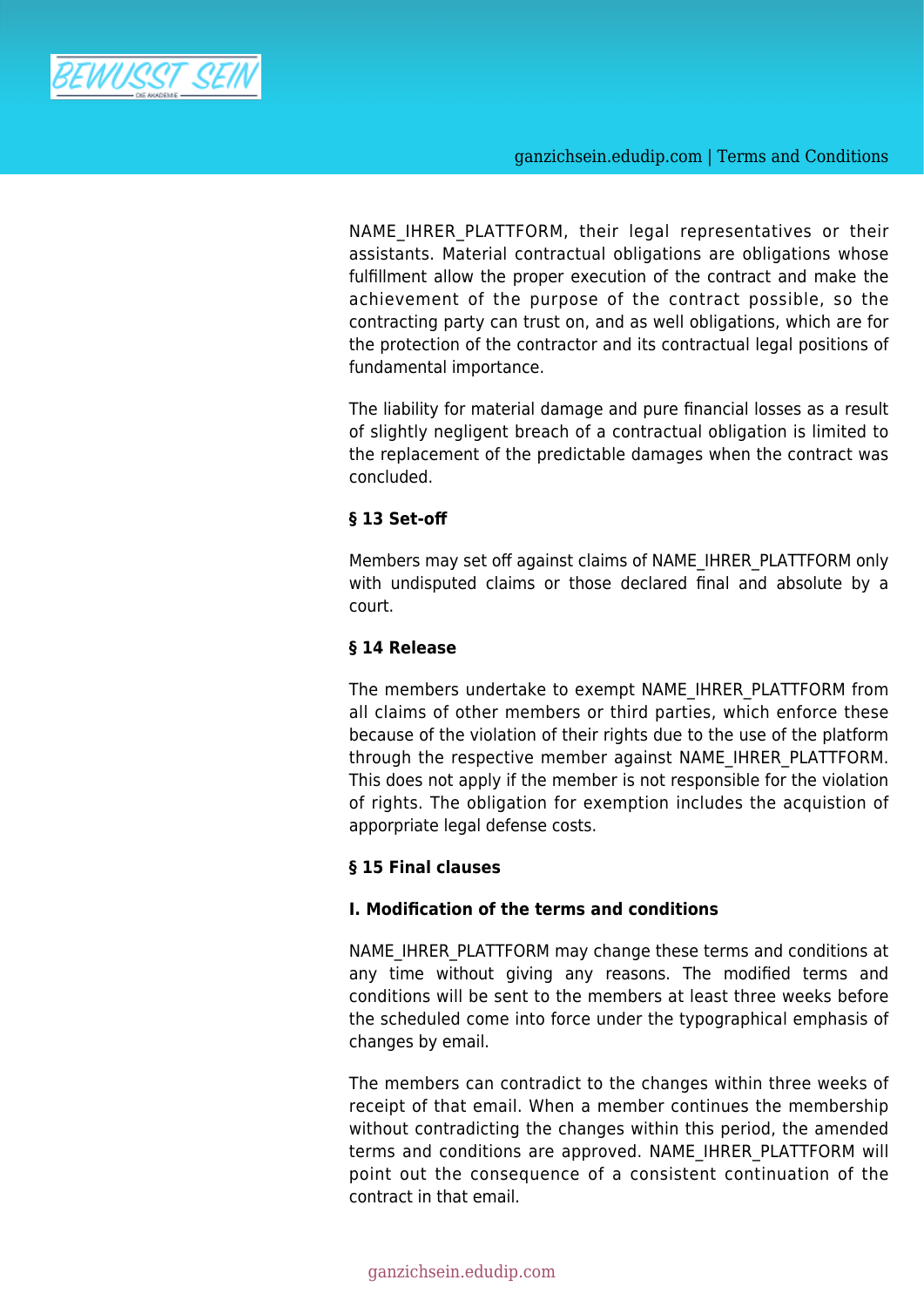

ganzichsein.edudip.com | Terms and Conditions

NAME IHRER PLATTFORM, their legal representatives or their assistants. Material contractual obligations are obligations whose fulfillment allow the proper execution of the contract and make the achievement of the purpose of the contract possible, so the contracting party can trust on, and as well obligations, which are for the protection of the contractor and its contractual legal positions of fundamental importance.

The liability for material damage and pure financial losses as a result of slightly negligent breach of a contractual obligation is limited to the replacement of the predictable damages when the contract was concluded.

# **§ 13 Set-off**

Members may set off against claims of NAME\_IHRER\_PLATTFORM only with undisputed claims or those declared final and absolute by a court.

# **§ 14 Release**

The members undertake to exempt NAME\_IHRER\_PLATTFORM from all claims of other members or third parties, which enforce these because of the violation of their rights due to the use of the platform through the respective member against NAME\_IHRER\_PLATTFORM. This does not apply if the member is not responsible for the violation of rights. The obligation for exemption includes the acquistion of apporpriate legal defense costs.

# **§ 15 Final clauses**

# **I. Modification of the terms and conditions**

NAME\_IHRER\_PLATTFORM may change these terms and conditions at any time without giving any reasons. The modified terms and conditions will be sent to the members at least three weeks before the scheduled come into force under the typographical emphasis of changes by email.

The members can contradict to the changes within three weeks of receipt of that email. When a member continues the membership without contradicting the changes within this period, the amended terms and conditions are approved. NAME\_IHRER\_PLATTFORM will point out the consequence of a consistent continuation of the contract in that email.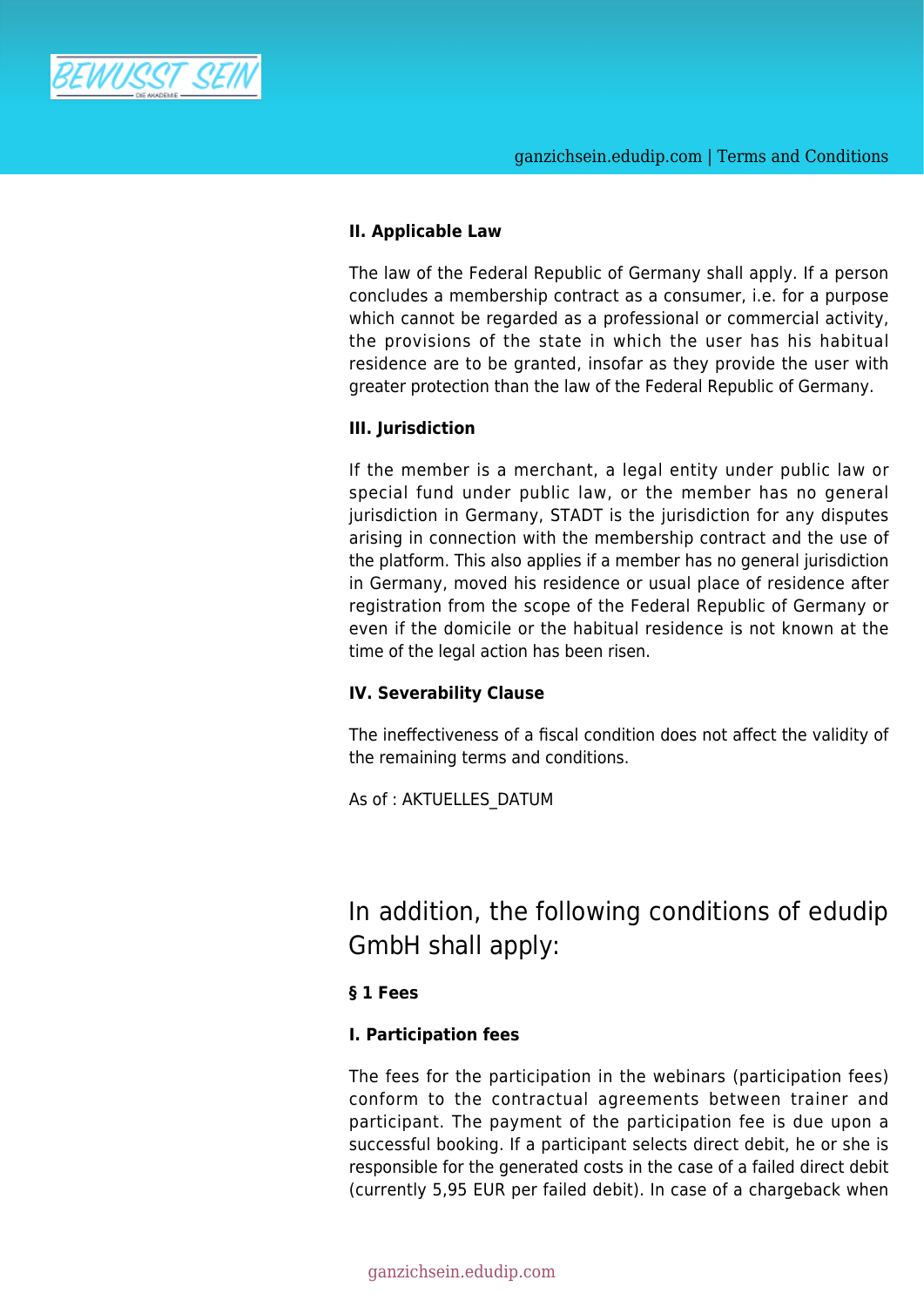

# **II. Applicable Law**

The law of the Federal Republic of Germany shall apply. If a person concludes a membership contract as a consumer, i.e. for a purpose which cannot be regarded as a professional or commercial activity, the provisions of the state in which the user has his habitual residence are to be granted, insofar as they provide the user with greater protection than the law of the Federal Republic of Germany.

# **III. Jurisdiction**

If the member is a merchant, a legal entity under public law or special fund under public law, or the member has no general jurisdiction in Germany, STADT is the jurisdiction for any disputes arising in connection with the membership contract and the use of the platform. This also applies if a member has no general jurisdiction in Germany, moved his residence or usual place of residence after registration from the scope of the Federal Republic of Germany or even if the domicile or the habitual residence is not known at the time of the legal action has been risen.

# **IV. Severability Clause**

The ineffectiveness of a fiscal condition does not affect the validity of the remaining terms and conditions.

As of : AKTUELLES\_DATUM

In addition, the following conditions of edudip GmbH shall apply:

# **§ 1 Fees**

# **I. Participation fees**

The fees for the participation in the webinars (participation fees) conform to the contractual agreements between trainer and participant. The payment of the participation fee is due upon a successful booking. If a participant selects direct debit, he or she is responsible for the generated costs in the case of a failed direct debit (currently 5,95 EUR per failed debit). In case of a chargeback when